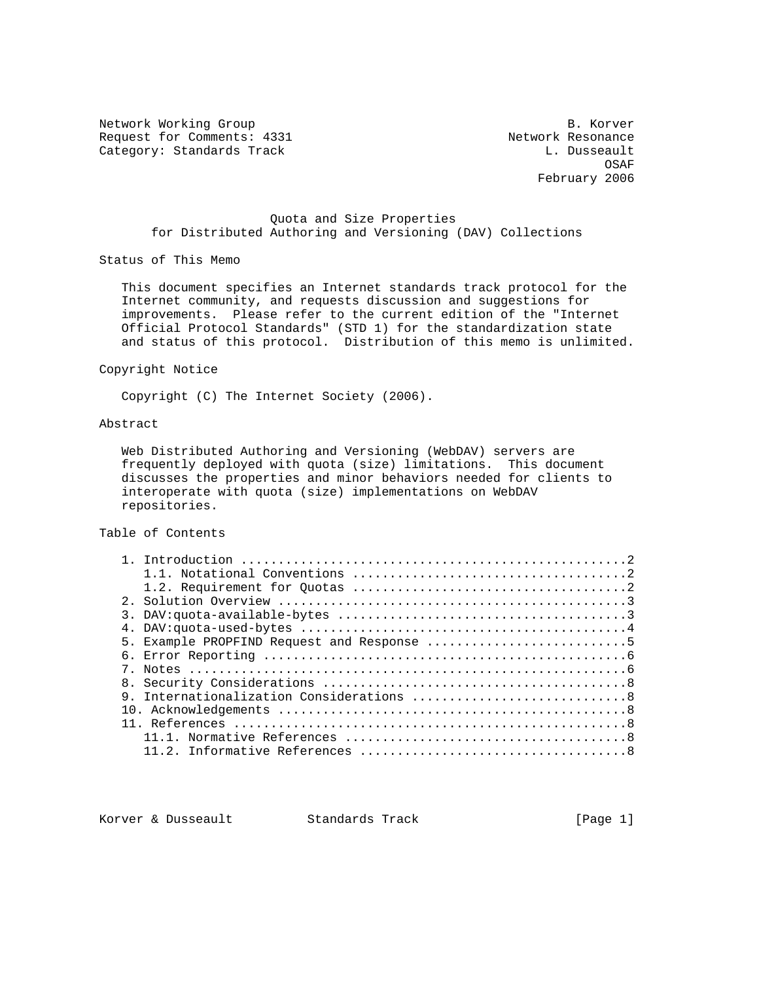Network Working Group B. Korver Request for Comments: 4331 Network Resonance Category: Standards Track L. Dusseault

on the contract of the contract of the contract of the contract of the contract of the contract of the contract of the contract of the contract of the contract of the contract of the contract of the contract of the contrac February 2006

### Quota and Size Properties for Distributed Authoring and Versioning (DAV) Collections

Status of This Memo

 This document specifies an Internet standards track protocol for the Internet community, and requests discussion and suggestions for improvements. Please refer to the current edition of the "Internet Official Protocol Standards" (STD 1) for the standardization state and status of this protocol. Distribution of this memo is unlimited.

### Copyright Notice

Copyright (C) The Internet Society (2006).

# Abstract

 Web Distributed Authoring and Versioning (WebDAV) servers are frequently deployed with quota (size) limitations. This document discusses the properties and minor behaviors needed for clients to interoperate with quota (size) implementations on WebDAV repositories.

## Table of Contents

| 5. Example PROPFIND Request and Response 5 |
|--------------------------------------------|
|                                            |
|                                            |
|                                            |
|                                            |
|                                            |
|                                            |
|                                            |
|                                            |

Korver & Dusseault Standards Track [Page 1]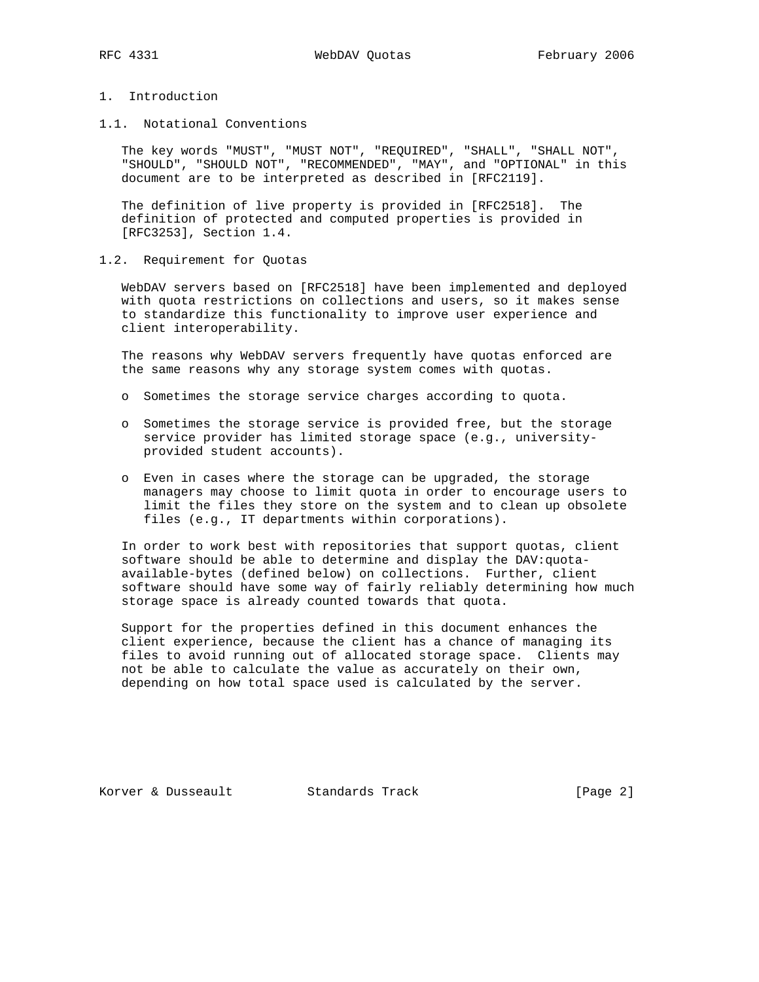# 1. Introduction

1.1. Notational Conventions

 The key words "MUST", "MUST NOT", "REQUIRED", "SHALL", "SHALL NOT", "SHOULD", "SHOULD NOT", "RECOMMENDED", "MAY", and "OPTIONAL" in this document are to be interpreted as described in [RFC2119].

 The definition of live property is provided in [RFC2518]. The definition of protected and computed properties is provided in [RFC3253], Section 1.4.

#### 1.2. Requirement for Quotas

 WebDAV servers based on [RFC2518] have been implemented and deployed with quota restrictions on collections and users, so it makes sense to standardize this functionality to improve user experience and client interoperability.

 The reasons why WebDAV servers frequently have quotas enforced are the same reasons why any storage system comes with quotas.

- o Sometimes the storage service charges according to quota.
- o Sometimes the storage service is provided free, but the storage service provider has limited storage space (e.g., university provided student accounts).
- o Even in cases where the storage can be upgraded, the storage managers may choose to limit quota in order to encourage users to limit the files they store on the system and to clean up obsolete files (e.g., IT departments within corporations).

 In order to work best with repositories that support quotas, client software should be able to determine and display the DAV:quota available-bytes (defined below) on collections. Further, client software should have some way of fairly reliably determining how much storage space is already counted towards that quota.

 Support for the properties defined in this document enhances the client experience, because the client has a chance of managing its files to avoid running out of allocated storage space. Clients may not be able to calculate the value as accurately on their own, depending on how total space used is calculated by the server.

Korver & Dusseault Standards Track [Page 2]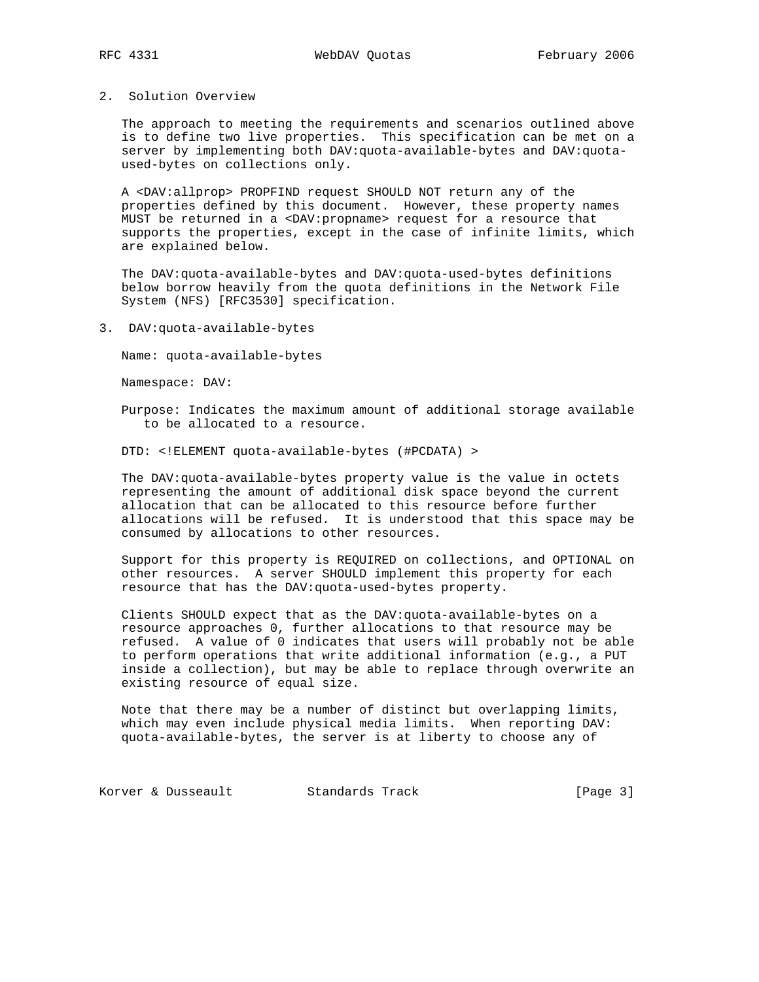### 2. Solution Overview

 The approach to meeting the requirements and scenarios outlined above is to define two live properties. This specification can be met on a server by implementing both DAV:quota-available-bytes and DAV:quota used-bytes on collections only.

 A <DAV:allprop> PROPFIND request SHOULD NOT return any of the properties defined by this document. However, these property names MUST be returned in a <DAV:propname> request for a resource that supports the properties, except in the case of infinite limits, which are explained below.

 The DAV:quota-available-bytes and DAV:quota-used-bytes definitions below borrow heavily from the quota definitions in the Network File System (NFS) [RFC3530] specification.

3. DAV:quota-available-bytes

Name: quota-available-bytes

Namespace: DAV:

 Purpose: Indicates the maximum amount of additional storage available to be allocated to a resource.

DTD: <!ELEMENT quota-available-bytes (#PCDATA) >

 The DAV:quota-available-bytes property value is the value in octets representing the amount of additional disk space beyond the current allocation that can be allocated to this resource before further allocations will be refused. It is understood that this space may be consumed by allocations to other resources.

 Support for this property is REQUIRED on collections, and OPTIONAL on other resources. A server SHOULD implement this property for each resource that has the DAV:quota-used-bytes property.

 Clients SHOULD expect that as the DAV:quota-available-bytes on a resource approaches 0, further allocations to that resource may be refused. A value of 0 indicates that users will probably not be able to perform operations that write additional information (e.g., a PUT inside a collection), but may be able to replace through overwrite an existing resource of equal size.

 Note that there may be a number of distinct but overlapping limits, which may even include physical media limits. When reporting DAV: quota-available-bytes, the server is at liberty to choose any of

Korver & Dusseault Standards Track [Page 3]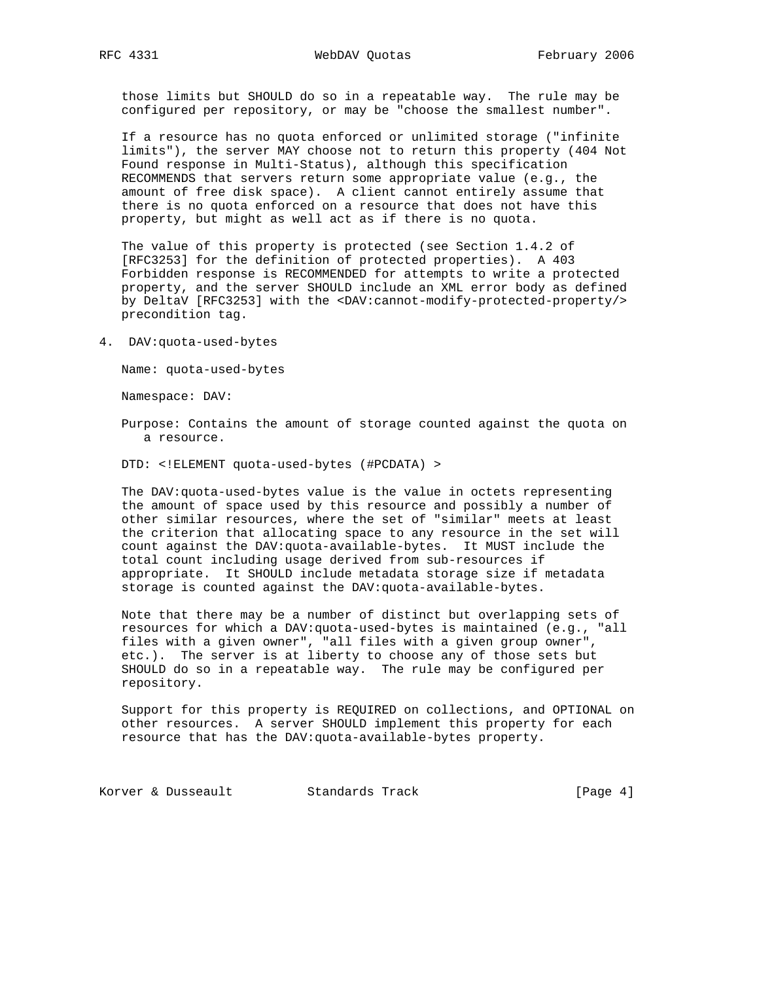those limits but SHOULD do so in a repeatable way. The rule may be configured per repository, or may be "choose the smallest number".

 If a resource has no quota enforced or unlimited storage ("infinite limits"), the server MAY choose not to return this property (404 Not Found response in Multi-Status), although this specification RECOMMENDS that servers return some appropriate value (e.g., the amount of free disk space). A client cannot entirely assume that there is no quota enforced on a resource that does not have this property, but might as well act as if there is no quota.

 The value of this property is protected (see Section 1.4.2 of [RFC3253] for the definition of protected properties). A 403 Forbidden response is RECOMMENDED for attempts to write a protected property, and the server SHOULD include an XML error body as defined by DeltaV [RFC3253] with the <DAV:cannot-modify-protected-property/> precondition tag.

4. DAV:quota-used-bytes

Name: quota-used-bytes

Namespace: DAV:

 Purpose: Contains the amount of storage counted against the quota on a resource.

DTD: <!ELEMENT quota-used-bytes (#PCDATA) >

 The DAV:quota-used-bytes value is the value in octets representing the amount of space used by this resource and possibly a number of other similar resources, where the set of "similar" meets at least the criterion that allocating space to any resource in the set will count against the DAV:quota-available-bytes. It MUST include the total count including usage derived from sub-resources if appropriate. It SHOULD include metadata storage size if metadata storage is counted against the DAV:quota-available-bytes.

 Note that there may be a number of distinct but overlapping sets of resources for which a DAV:quota-used-bytes is maintained (e.g., "all files with a given owner", "all files with a given group owner", etc.). The server is at liberty to choose any of those sets but SHOULD do so in a repeatable way. The rule may be configured per repository.

 Support for this property is REQUIRED on collections, and OPTIONAL on other resources. A server SHOULD implement this property for each resource that has the DAV:quota-available-bytes property.

Korver & Dusseault Standards Track [Page 4]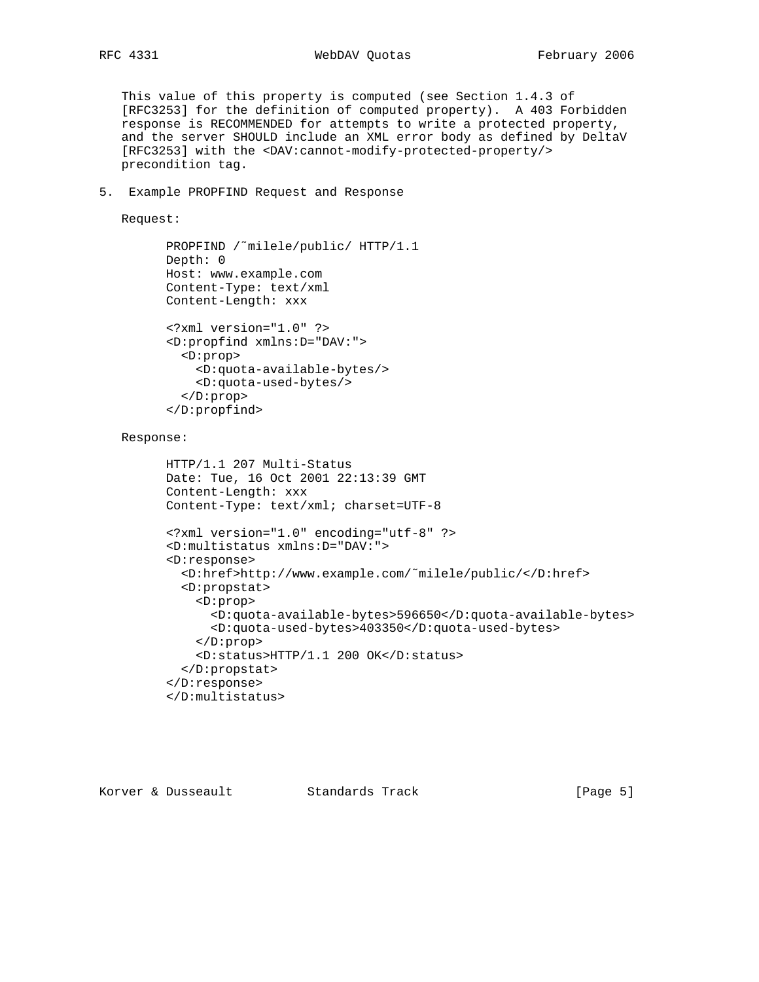This value of this property is computed (see Section 1.4.3 of [RFC3253] for the definition of computed property). A 403 Forbidden response is RECOMMENDED for attempts to write a protected property, and the server SHOULD include an XML error body as defined by DeltaV [RFC3253] with the <DAV:cannot-modify-protected-property/> precondition tag.

5. Example PROPFIND Request and Response

Request:

```
 PROPFIND /˜milele/public/ HTTP/1.1
Depth: 0
Host: www.example.com
Content-Type: text/xml
Content-Length: xxx
<?xml version="1.0" ?>
<D:propfind xmlns:D="DAV:">
  <D:prop>
    <D:quota-available-bytes/>
    <D:quota-used-bytes/>
  </D:prop>
</D:propfind>
```
Response:

```
 HTTP/1.1 207 Multi-Status
Date: Tue, 16 Oct 2001 22:13:39 GMT
Content-Length: xxx
Content-Type: text/xml; charset=UTF-8
<?xml version="1.0" encoding="utf-8" ?>
<D:multistatus xmlns:D="DAV:">
<D:response>
  <D:href>http://www.example.com/˜milele/public/</D:href>
  <D:propstat>
    <D:prop>
      <D:quota-available-bytes>596650</D:quota-available-bytes>
      <D:quota-used-bytes>403350</D:quota-used-bytes>
    </D:prop>
    <D:status>HTTP/1.1 200 OK</D:status>
  </D:propstat>
</D:response>
</D:multistatus>
```
Korver & Dusseault Standards Track [Page 5]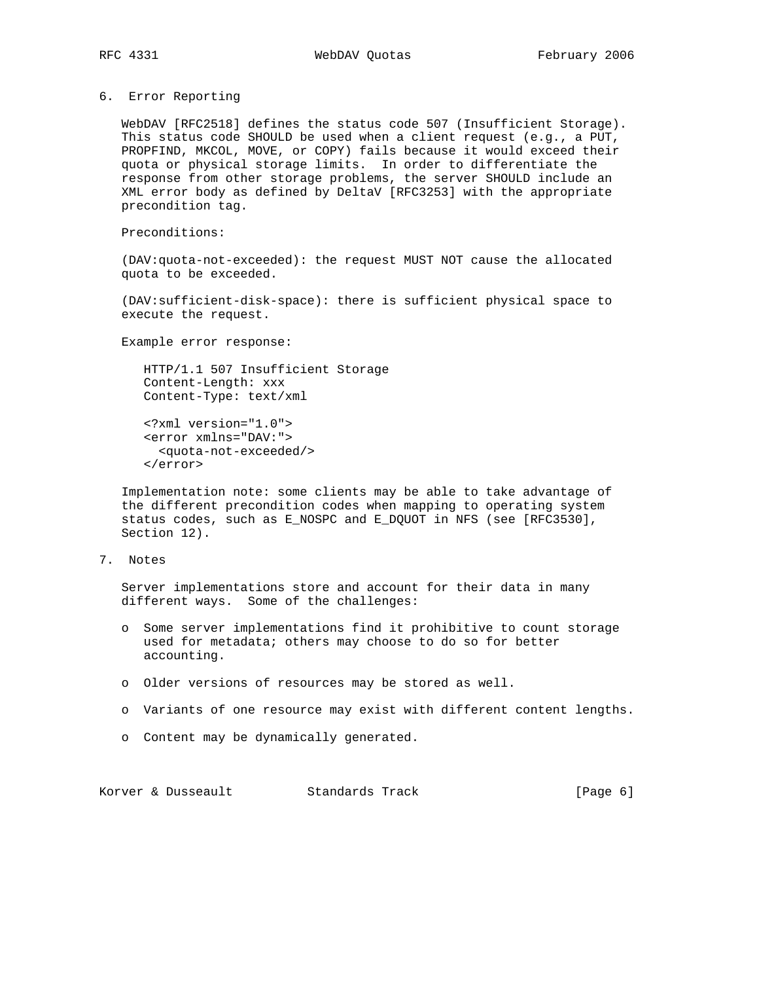#### 6. Error Reporting

 WebDAV [RFC2518] defines the status code 507 (Insufficient Storage). This status code SHOULD be used when a client request (e.g., a PUT, PROPFIND, MKCOL, MOVE, or COPY) fails because it would exceed their quota or physical storage limits. In order to differentiate the response from other storage problems, the server SHOULD include an XML error body as defined by DeltaV [RFC3253] with the appropriate precondition tag.

Preconditions:

 (DAV:quota-not-exceeded): the request MUST NOT cause the allocated quota to be exceeded.

 (DAV:sufficient-disk-space): there is sufficient physical space to execute the request.

Example error response:

 HTTP/1.1 507 Insufficient Storage Content-Length: xxx Content-Type: text/xml

 <?xml version="1.0"> <error xmlns="DAV:"> <quota-not-exceeded/> </error>

 Implementation note: some clients may be able to take advantage of the different precondition codes when mapping to operating system status codes, such as E\_NOSPC and E\_DQUOT in NFS (see [RFC3530], Section 12).

7. Notes

 Server implementations store and account for their data in many different ways. Some of the challenges:

- o Some server implementations find it prohibitive to count storage used for metadata; others may choose to do so for better accounting.
- o Older versions of resources may be stored as well.
- o Variants of one resource may exist with different content lengths.
- o Content may be dynamically generated.

Korver & Dusseault Standards Track [Page 6]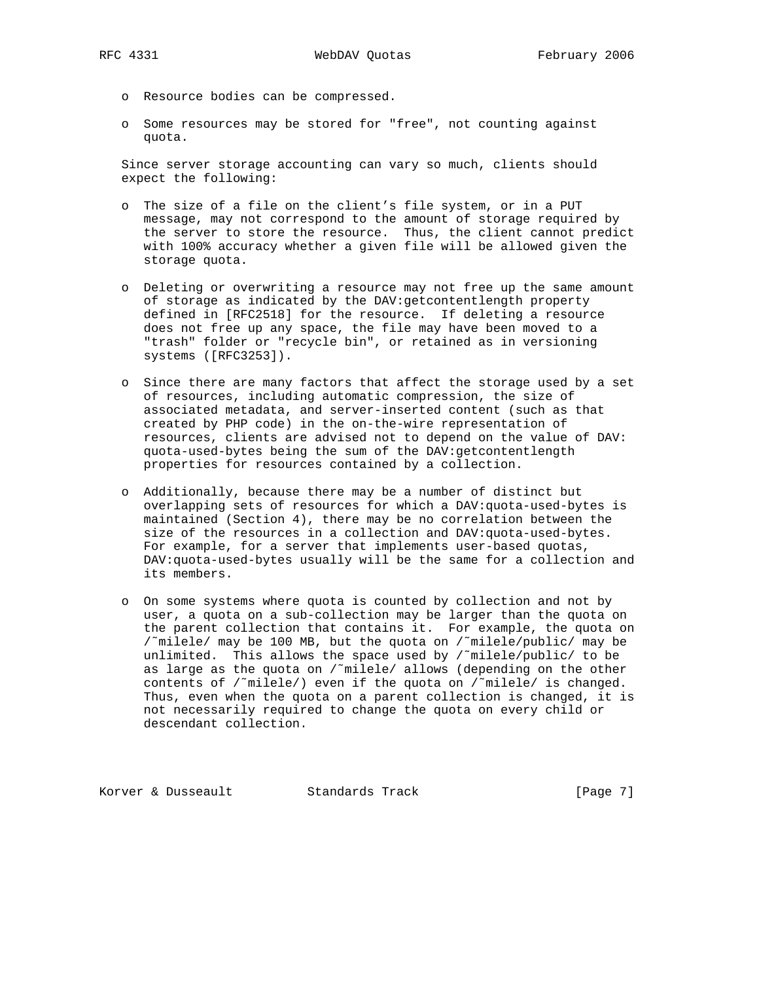- o Resource bodies can be compressed.
- o Some resources may be stored for "free", not counting against quota.

 Since server storage accounting can vary so much, clients should expect the following:

- o The size of a file on the client's file system, or in a PUT message, may not correspond to the amount of storage required by the server to store the resource. Thus, the client cannot predict with 100% accuracy whether a given file will be allowed given the storage quota.
- o Deleting or overwriting a resource may not free up the same amount of storage as indicated by the DAV:getcontentlength property defined in [RFC2518] for the resource. If deleting a resource does not free up any space, the file may have been moved to a "trash" folder or "recycle bin", or retained as in versioning systems ([RFC3253]).
- o Since there are many factors that affect the storage used by a set of resources, including automatic compression, the size of associated metadata, and server-inserted content (such as that created by PHP code) in the on-the-wire representation of resources, clients are advised not to depend on the value of DAV: quota-used-bytes being the sum of the DAV:getcontentlength properties for resources contained by a collection.
- o Additionally, because there may be a number of distinct but overlapping sets of resources for which a DAV:quota-used-bytes is maintained (Section 4), there may be no correlation between the size of the resources in a collection and DAV:quota-used-bytes. For example, for a server that implements user-based quotas, DAV:quota-used-bytes usually will be the same for a collection and its members.
- o On some systems where quota is counted by collection and not by user, a quota on a sub-collection may be larger than the quota on the parent collection that contains it. For example, the quota on /˜milele/ may be 100 MB, but the quota on /˜milele/public/ may be unlimited. This allows the space used by  $\int f(x) \, dx$  to be as large as the quota on /˜milele/ allows (depending on the other contents of /˜milele/) even if the quota on /˜milele/ is changed. Thus, even when the quota on a parent collection is changed, it is not necessarily required to change the quota on every child or descendant collection.

Korver & Dusseault Standards Track [Page 7]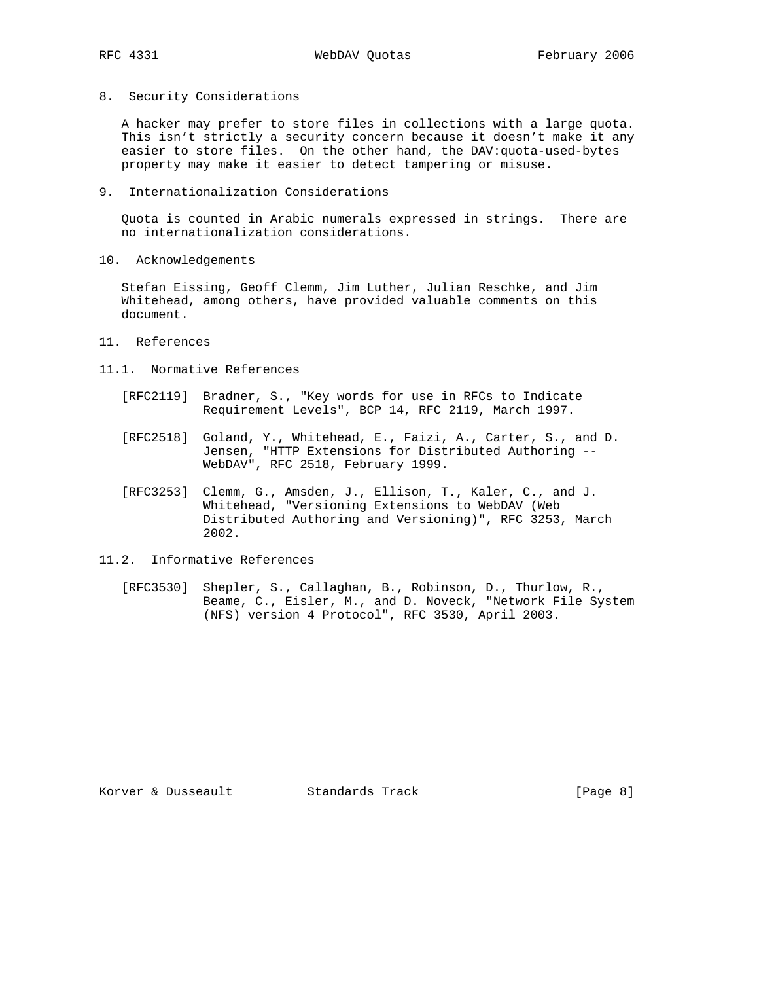8. Security Considerations

 A hacker may prefer to store files in collections with a large quota. This isn't strictly a security concern because it doesn't make it any easier to store files. On the other hand, the DAV:quota-used-bytes property may make it easier to detect tampering or misuse.

9. Internationalization Considerations

 Quota is counted in Arabic numerals expressed in strings. There are no internationalization considerations.

10. Acknowledgements

 Stefan Eissing, Geoff Clemm, Jim Luther, Julian Reschke, and Jim Whitehead, among others, have provided valuable comments on this document.

- 11. References
- 11.1. Normative References
	- [RFC2119] Bradner, S., "Key words for use in RFCs to Indicate Requirement Levels", BCP 14, RFC 2119, March 1997.
- [RFC2518] Goland, Y., Whitehead, E., Faizi, A., Carter, S., and D. Jensen, "HTTP Extensions for Distributed Authoring -- WebDAV", RFC 2518, February 1999.
	- [RFC3253] Clemm, G., Amsden, J., Ellison, T., Kaler, C., and J. Whitehead, "Versioning Extensions to WebDAV (Web Distributed Authoring and Versioning)", RFC 3253, March 2002.
- 11.2. Informative References
	- [RFC3530] Shepler, S., Callaghan, B., Robinson, D., Thurlow, R., Beame, C., Eisler, M., and D. Noveck, "Network File System (NFS) version 4 Protocol", RFC 3530, April 2003.

Korver & Dusseault Standards Track [Page 8]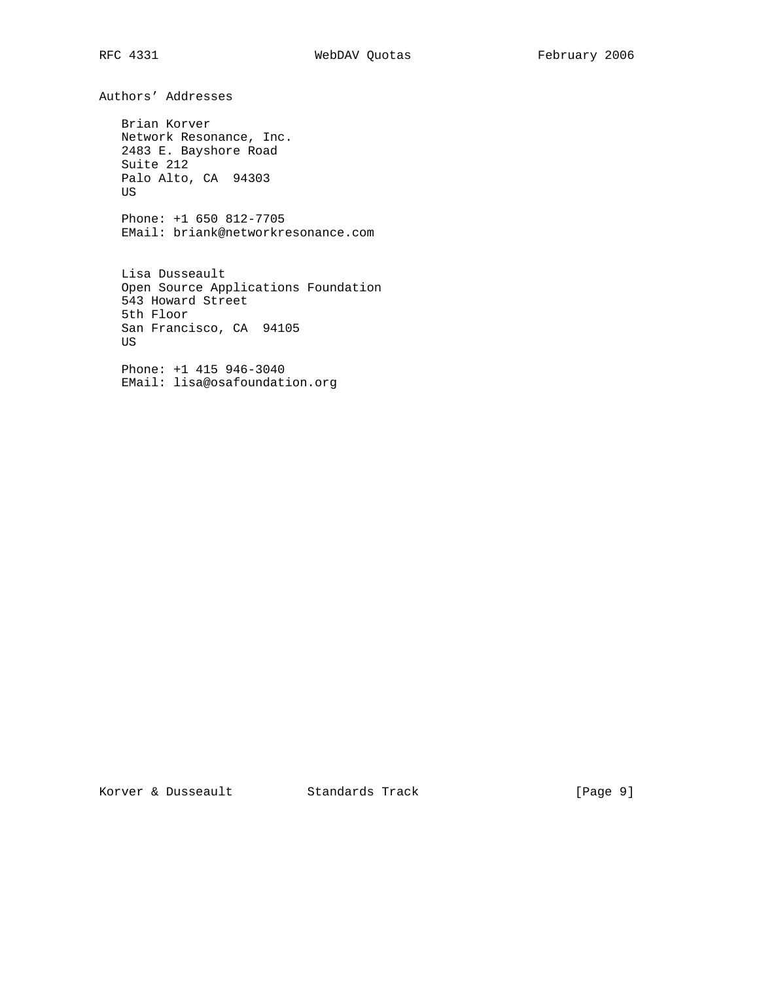Authors' Addresses Brian Korver Network Resonance, Inc. 2483 E. Bayshore Road Suite 212 Palo Alto, CA 94303 US Phone: +1 650 812-7705 EMail: briank@networkresonance.com Lisa Dusseault Open Source Applications Foundation 543 Howard Street 5th Floor San Francisco, CA 94105 US

 Phone: +1 415 946-3040 EMail: lisa@osafoundation.org